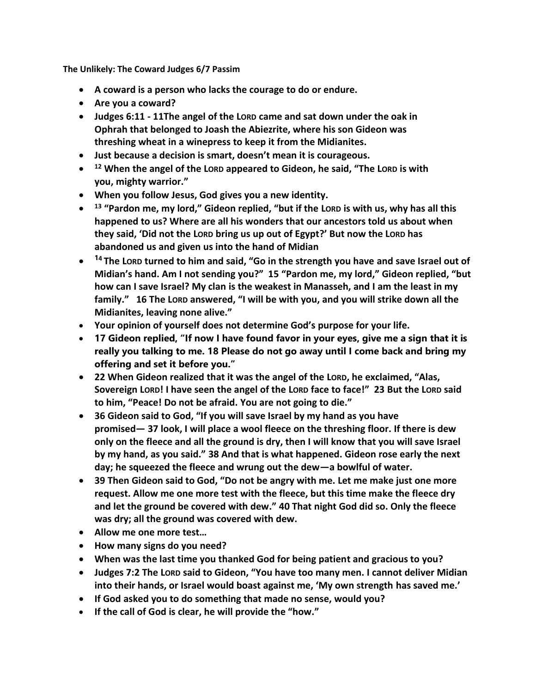**The Unlikely: The Coward Judges 6/7 Passim**

- **A coward is a person who lacks the courage to do or endure.**
- **Are you a coward?**
- Judges 6:11 11The angel of the Lorp came and sat down under the oak in **Ophrah that belonged to Joash the Abiezrite, where his son Gideon was threshing wheat in a winepress to keep it from the Midianites.**
- **Just because a decision is smart, doesn't mean it is courageous.**
- **<sup>12</sup> When the angel of the LORD appeared to Gideon, he said, "The LORD is with you, mighty warrior."**
- **When you follow Jesus, God gives you a new identity.**
- **<sup>13</sup> "Pardon me, my lord," Gideon replied, "but if the LORD is with us, why has all this happened to us? Where are all his wonders that our ancestors told us about when they said, 'Did not the LORD bring us up out of Egypt?' But now the LORD has abandoned us and given us into the hand of Midian**
- **<sup>1</sup><sup>4</sup> The LORD turned to him and said, "Go in the strength you have and save Israel out of Midian's hand. Am I not sending you?" 15 "Pardon me, my lord," Gideon replied, "but how can I save Israel? My clan is the weakest in Manasseh, and I am the least in my family." 16 The LORD answered, "I will be with you, and you will strike down all the Midianites, leaving none alive."**
- **Your opinion of yourself does not determine God's purpose for your life.**
- **17 Gideon replied, "If now I have found favor in your eyes, give me a sign that it is really you talking to me. 18 Please do not go away until I come back and bring my offering and set it before you."**
- **22 When Gideon realized that it was the angel of the LORD, he exclaimed, "Alas, Sovereign LORD! I have seen the angel of the LORD face to face!" 23 But the LORD said to him, "Peace! Do not be afraid. You are not going to die."**
- **36 Gideon said to God, "If you will save Israel by my hand as you have promised— 37 look, I will place a wool fleece on the threshing floor. If there is dew only on the fleece and all the ground is dry, then I will know that you will save Israel by my hand, as you said." 38 And that is what happened. Gideon rose early the next day; he squeezed the fleece and wrung out the dew—a bowlful of water.**
- **39 Then Gideon said to God, "Do not be angry with me. Let me make just one more request. Allow me one more test with the fleece, but this time make the fleece dry and let the ground be covered with dew." 40 That night God did so. Only the fleece was dry; all the ground was covered with dew.**
- **Allow me one more test…**
- **How many signs do you need?**
- **When was the last time you thanked God for being patient and gracious to you?**
- **Judges 7:2 The LORD said to Gideon, "You have too many men. I cannot deliver Midian into their hands, or Israel would boast against me, 'My own strength has saved me.'**
- **If God asked you to do something that made no sense, would you?**
- **If the call of God is clear, he will provide the "how."**